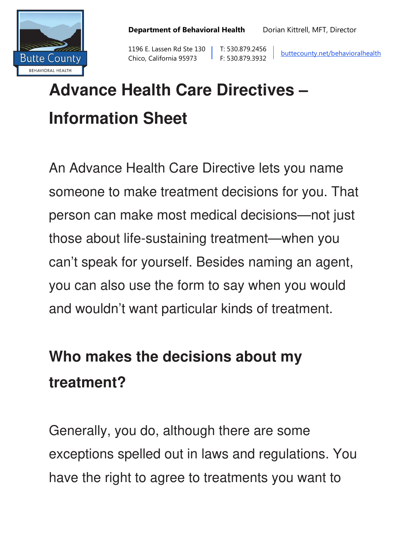

1196 E. Lassen Rd Ste 130 | T: 530.879.2456 Butte County Chico, California 95973 F: 530.879.3932 buttecounty.net/behavioralhealth

# **Advance Health Care Directives – Information Sheet**

An Advance Health Care Directive lets you name someone to make treatment decisions for you. That person can make most medical decisions—not just those about life-sustaining treatment—when you can't speak for yourself. Besides naming an agent, you can also use the form to say when you would and wouldn't want particular kinds of treatment.

### **Who makes the decisions about my treatment?**

Generally, you do, although there are some exceptions spelled out in laws and regulations. You have the right to agree to treatments you want to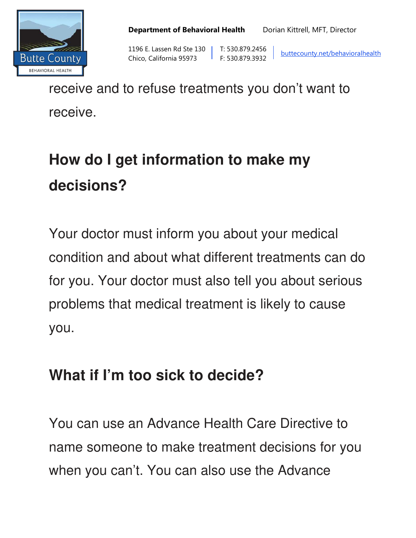



1196 E. Lassen Rd Ste 130 | T: 530.879.2456<br>Butte County | Chico, California 95973 | F: 530.879.3932 E: Edition California 95973 F: 530.879.3932 buttecounty.net/behavioralhealth

receive and to refuse treatments you don't want to receive.

## **How do I get information to make my decisions?**

Your doctor must inform you about your medical condition and about what different treatments can do for you. Your doctor must also tell you about serious problems that medical treatment is likely to cause you.

#### **What if I'm too sick to decide?**

You can use an Advance Health Care Directive to name someone to make treatment decisions for you when you can't. You can also use the Advance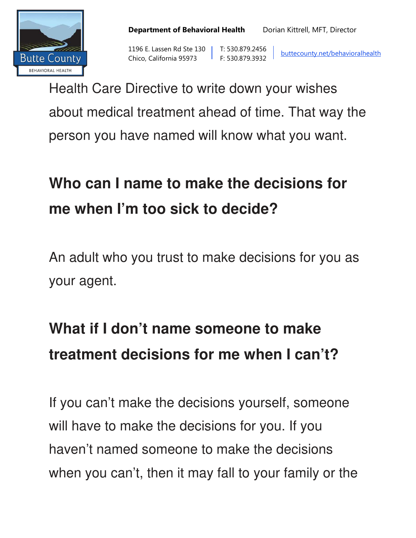



1196 E. Lassen Rd Ste 130 | T: 530.879.2456<br>Butte County | Chico, California 95973 | F: 530.879.3932 E: Edition California 95973 F: 530.879.3932 buttecounty.net/behavioralhealth

Health Care Directive to write down your wishes about medical treatment ahead of time. That way the person you have named will know what you want.

### **Who can I name to make the decisions for me when I'm too sick to decide?**

An adult who you trust to make decisions for you as your agent.

## **What if I don't name someone to make treatment decisions for me when I can't?**

If you can't make the decisions yourself, someone will have to make the decisions for you. If you haven't named someone to make the decisions when you can't, then it may fall to your family or the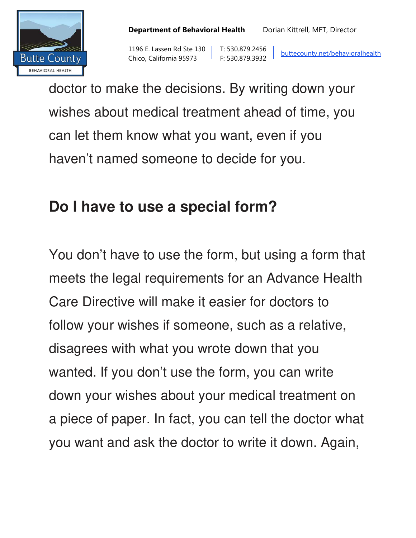



1196 E. Lassen Rd Ste 130 | T: 530.879.2456<br>Butte County | Chico, California 95973 | F: 530.879.3932 The E. Lassen Rd Ste 150 | 1. 530.879.2456 | buttecounty.net/behavioralhealth<br>Chico, California 95973 | F: 530.879.3932 | buttecounty.net/behavioralhealth

doctor to make the decisions. By writing down your wishes about medical treatment ahead of time, you can let them know what you want, even if you haven't named someone to decide for you.

#### **Do I have to use a special form?**

You don't have to use the form, but using a form that meets the legal requirements for an Advance Health Care Directive will make it easier for doctors to follow your wishes if someone, such as a relative, disagrees with what you wrote down that you wanted. If you don't use the form, you can write down your wishes about your medical treatment on a piece of paper. In fact, you can tell the doctor what you want and ask the doctor to write it down. Again,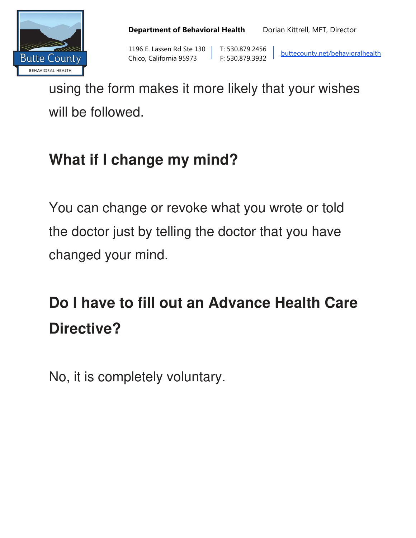



1196 E. Lassen Rd Ste 130 T: 530.879.2456<br>Butte County The County Chico, California 95973 F: 530.879.3932 E: E30.879.3932 buttecounty.net/behavioralhealth<br>Chico, California 95973 F: 530.879.3932

using the form makes it more likely that your wishes will be followed.

#### **What if I change my mind?**

You can change or revoke what you wrote or told the doctor just by telling the doctor that you have changed your mind.

## **Do I have to fill out an Advance Health Care Directive?**

No, it is completely voluntary.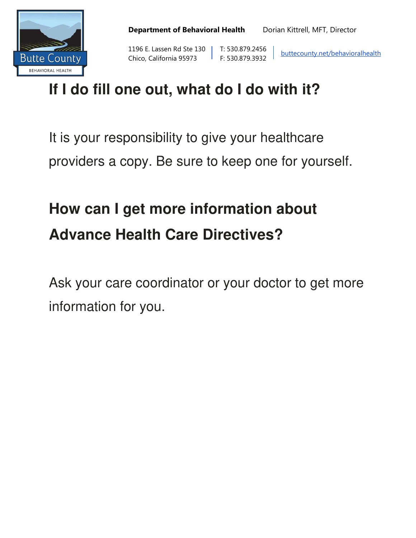

1196 E. Lassen Rd Ste 130 | T: 530.879.2456<br>Butte County | Chico, California 95973 | F: 530.879.3932 E: E30.879.3932 buttecounty.net/behavioralhealth<br>Chico, California 95973 F: 530.879.3932

#### **If I do fill one out, what do I do with it?**

It is your responsibility to give your healthcare providers a copy. Be sure to keep one for yourself.

# **How can I get more information about Advance Health Care Directives?**

Ask your care coordinator or your doctor to get more information for you.